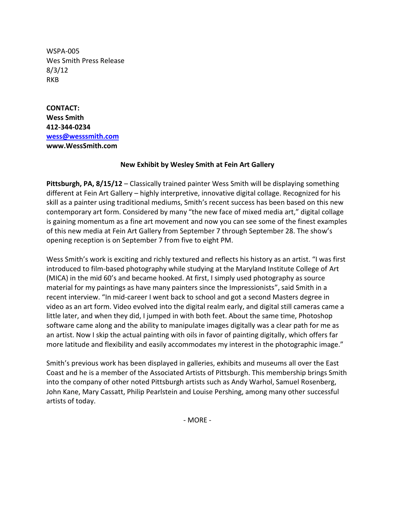WSPA-005 Wes Smith Press Release 8/3/12 RKB

**CONTACT: Wess Smith 412-344-0234 [wess@wesssmith.com](mailto:wess@wesssmith.com) www.WessSmith.com**

## **New Exhibit by Wesley Smith at Fein Art Gallery**

**Pittsburgh, PA, 8/15/12** – Classically trained painter Wess Smith will be displaying something different at Fein Art Gallery – highly interpretive, innovative digital collage. Recognized for his skill as a painter using traditional mediums, Smith's recent success has been based on this new contemporary art form. Considered by many "the new face of mixed media art," digital collage is gaining momentum as a fine art movement and now you can see some of the finest examples of this new media at Fein Art Gallery from September 7 through September 28. The show's opening reception is on September 7 from five to eight PM.

Wess Smith's work is exciting and richly textured and reflects his history as an artist. "I was first introduced to film-based photography while studying at the Maryland Institute College of Art (MICA) in the mid 60's and became hooked. At first, I simply used photography as source material for my paintings as have many painters since the Impressionists", said Smith in a recent interview. "In mid-career I went back to school and got a second Masters degree in video as an art form. Video evolved into the digital realm early, and digital still cameras came a little later, and when they did, I jumped in with both feet. About the same time, Photoshop software came along and the ability to manipulate images digitally was a clear path for me as an artist. Now I skip the actual painting with oils in favor of painting digitally, which offers far more latitude and flexibility and easily accommodates my interest in the photographic image."

Smith's previous work has been displayed in galleries, exhibits and museums all over the East Coast and he is a member of the Associated Artists of Pittsburgh. This membership brings Smith into the company of other noted Pittsburgh artists such as Andy Warhol, Samuel Rosenberg, John Kane, Mary Cassatt, Philip Pearlstein and Louise Pershing, among many other successful artists of today.

- MORE -